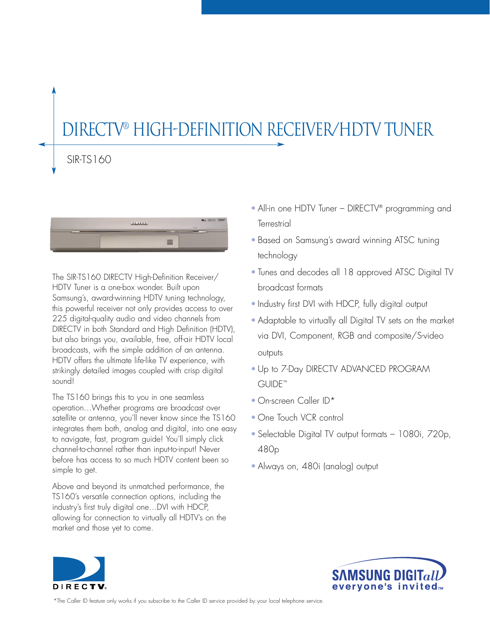# DirecTV® High-Definition Receiver/HDTV TUNER

# SIR-TS160



The SIR-TS160 DIRECTV High-Definition Receiver/ HDTV Tuner is a one-box wonder. Built upon Samsung's, award-winning HDTV tuning technology, this powerful receiver not only provides access to over 225 digital-quality audio and video channels from DIRECTV in both Standard and High Definition (HDTV), but also brings you, available, free, off-air HDTV local broadcasts, with the simple addition of an antenna. HDTV offers the ultimate life-like TV experience, with strikingly detailed images coupled with crisp digital sound!

The TS160 brings this to you in one seamless operation…Whether programs are broadcast over satellite or antenna, you'll never know since the TS160 integrates them both, analog and digital, into one easy to navigate, fast, program guide! You'll simply click channel-to-channel rather than input-to-input! Never before has access to so much HDTV content been so simple to get.

Above and beyond its unmatched performance, the TS160's versatile connection options, including the industry's first truly digital one…DVI with HDCP, allowing for connection to virtually all HDTV's on the market and those yet to come.

- All-in one HDTV Tuner DIRECTV<sup>®</sup> programming and **Terrestrial**
- Based on Samsung's award winning ATSC tuning technology
- Tunes and decodes all 18 approved ATSC Digital TV broadcast formats
- Industry first DVI with HDCP, fully digital output
- Adaptable to virtually all Digital TV sets on the market via DVI, Component, RGB and composite/S-video outputs
- Up to 7-Day DIRECTV ADVANCED PROGRAM GUIDE™
- On-screen Caller ID\*
- One Touch VCR control
- Selectable Digital TV output formats 1080i, 720p, 480p
- Always on, 480i (analog) output